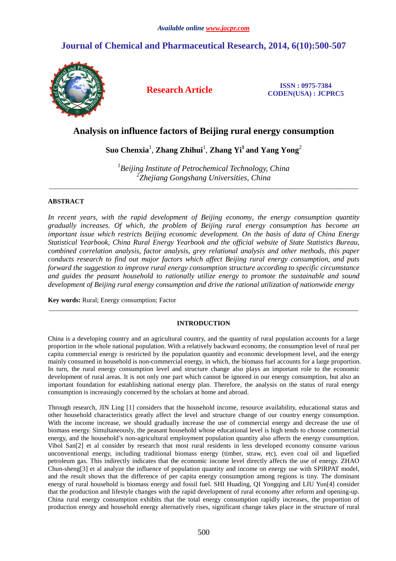# **Journal of Chemical and Pharmaceutical Research, 2014, 6(10):500-507**



**Research Article ISSN : 0975-7384 CODEN(USA) : JCPRC5**

# **Analysis on influence factors of Beijing rural energy consumption**

# $\boldsymbol{\mathsf{Suo}}$  Chenxia<sup>1</sup>, Zhang Zhihui<sup>1</sup>, Zhang Yi<sup>1</sup> and Yang Yong<sup>2</sup>

*1 Beijing Institute of Petrochemical Technology, China 2 Zhejiang Gongshang Universities, China* 

\_\_\_\_\_\_\_\_\_\_\_\_\_\_\_\_\_\_\_\_\_\_\_\_\_\_\_\_\_\_\_\_\_\_\_\_\_\_\_\_\_\_\_\_\_\_\_\_\_\_\_\_\_\_\_\_\_\_\_\_\_\_\_\_\_\_\_\_\_\_\_\_\_\_\_\_\_\_\_\_\_\_\_\_\_\_\_\_\_\_\_\_\_

## **ABSTRACT**

*In recent years, with the rapid development of Beijing economy, the energy consumption quantity gradually increases. Of which, the problem of Beijing rural energy consumption has become an important issue which restricts Beijing economic development. On the basis of data of China Energy Statistical Yearbook, China Rural Energy Yearbook and the official website of State Statistics Bureau, combined correlation analysis, factor analysis, grey relational analysis and other methods, this paper conducts research to find out major factors which affect Beijing rural energy consumption, and puts forward the suggestion to improve rural energy consumption structure according to specific circumstance and guides the peasant household to rationally utilize energy to promote the sustainable and sound development of Beijing rural energy consumption and drive the rational utilization of nationwide energy* 

**Key words:** Rural; Energy consumption; Factor

# **INTRODUCTION**

\_\_\_\_\_\_\_\_\_\_\_\_\_\_\_\_\_\_\_\_\_\_\_\_\_\_\_\_\_\_\_\_\_\_\_\_\_\_\_\_\_\_\_\_\_\_\_\_\_\_\_\_\_\_\_\_\_\_\_\_\_\_\_\_\_\_\_\_\_\_\_\_\_\_\_\_\_\_\_\_\_\_\_\_\_\_\_\_\_\_\_\_\_

China is a developing country and an agricultural country, and the quantity of rural population accounts for a large proportion in the whole national population. With a relatively backward economy, the consumption level of rural per capita commercial energy is restricted by the population quantity and economic development level, and the energy mainly consumed in household is non-commercial energy, in which, the biomass fuel accounts for a large proportion. In turn, the rural energy consumption level and structure change also plays an important role to the economic development of rural areas. It is not only one part which cannot be ignored in our energy consumption, but also an important foundation for establishing national energy plan. Therefore, the analysis on the status of rural energy consumption is increasingly concerned by the scholars at home and abroad.

Through research, JIN Ling [1] considers that the household income, resource availability, educational status and other household characteristics greatly affect the level and structure change of our country energy consumption. With the income increase, we should gradually increase the use of commercial energy and decrease the use of biomass energy. Simultaneously, the peasant household whose educational level is high tends to choose commercial energy, and the household's non-agricultural employment population quantity also affects the energy consumption. Vibol San[2] et al consider by research that most rural residents in less developed economy consume various unconventional energy, including traditional biomass energy (timber, straw, etc), even coal oil and liquefied petroleum gas. This indirectly indicates that the economic income level directly affects the use of energy. ZHAO Chun-sheng[3] et al analyze the influence of population quantity and income on energy use with SPIRPAT model, and the result shows that the difference of per capita energy consumption among regions is tiny. The dominant energy of rural household is biomass energy and fossil fuel. SHI Huading, QI Yongqing and LIU Yun[4] consider that the production and lifestyle changes with the rapid development of rural economy after reform and opening-up. China rural energy consumption exhibits that the total energy consumption rapidly increases, the proportion of production energy and household energy alternatively rises, significant change takes place in the structure of rural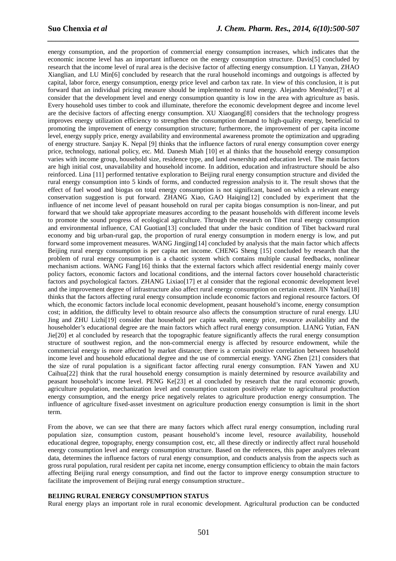energy consumption, and the proportion of commercial energy consumption increases, which indicates that the economic income level has an important influence on the energy consumption structure. Davis[5] concluded by research that the income level of rural area is the decisive factor of affecting energy consumption. LI Yanyan, ZHAO Xianglian, and LU Min[6] concluded by research that the rural household incomings and outgoings is affected by capital, labor force, energy consumption, energy price level and carbon tax rate. In view of this conclusion, it is put forward that an individual pricing measure should be implemented to rural energy. Alejandro Menéndez[7] et al consider that the development level and energy consumption quantity is low in the area with agriculture as basis. Every household uses timber to cook and illuminate, therefore the economic development degree and income level are the decisive factors of affecting energy consumption. XU Xiaogang[8] considers that the technology progress improves energy utilization efficiency to strengthen the consumption demand to high-quality energy, beneficial to promoting the improvement of energy consumption structure; furthermore, the improvement of per capita income level, energy supply price, energy availability and environmental awareness promote the optimization and upgrading of energy structure. Sanjay K. Nepal [9] thinks that the influence factors of rural energy consumption cover energy price, technology, national policy, etc. Md. Danesh Miah [10] et al thinks that the household energy consumption varies with income group, household size, residence type, and land ownership and education level. The main factors are high initial cost, unavailability and household income. In addition, education and infrastructure should be also reinforced. Lina [11] performed tentative exploration to Beijing rural energy consumption structure and divided the rural energy consumption into 5 kinds of forms, and conducted regression analysis to it. The result shows that the effect of fuel wood and biogas on total energy consumption is not significant, based on which a relevant energy conservation suggestion is put forward. ZHANG Xiao, GAO Haiqing[12] concluded by experiment that the influence of net income level of peasant household on rural per capita biogas consumption is non-linear, and put forward that we should take appropriate measures according to the peasant households with different income levels to promote the sound progress of ecological agriculture. Through the research on Tibet rural energy consumption and environmental influence, CAI Guotian[13] concluded that under the basic condition of Tibet backward rural economy and big urban-rural gap, the proportion of rural energy consumption in modern energy is low, and put forward some improvement measures. WANG Jingjing[14] concluded by analysis that the main factor which affects Beijing rural energy consumption is per capita net income. CHENG Sheng [15] concluded by research that the problem of rural energy consumption is a chaotic system which contains multiple causal feedbacks, nonlinear mechanism actions. WANG Fang[16] thinks that the external factors which affect residential energy mainly cover policy factors, economic factors and locational conditions, and the internal factors cover household characteristic factors and psychological factors. ZHANG Lixiao[17] et al consider that the regional economic development level and the improvement degree of infrastructure also affect rural energy consumption on certain extent. JIN Yanhai[18] thinks that the factors affecting rural energy consumption include economic factors and regional resource factors. Of which, the economic factors include local economic development, peasant household's income, energy consumption cost; in addition, the difficulty level to obtain resource also affects the consumption structure of rural energy. LIU Jing and ZHU Lizhi[19] consider that household per capita wealth, energy price, resource availability and the householder's educational degree are the main factors which affect rural energy consumption. LIANG Yutian, FAN Jie[20] et al concluded by research that the topographic feature significantly affects the rural energy consumption structure of southwest region, and the non-commercial energy is affected by resource endowment, while the commercial energy is more affected by market distance; there is a certain positive correlation between household income level and household educational degree and the use of commercial energy. YANG Zhen [21] considers that the size of rural population is a significant factor affecting rural energy consumption. FAN Yawen and XU Caihua[22] think that the rural household energy consumption is mainly determined by resource availability and peasant household's income level. PENG Ke[23] et al concluded by research that the rural economic growth, agriculture population, mechanization level and consumption custom positively relate to agricultural production energy consumption, and the energy price negatively relates to agriculture production energy consumption. The influence of agriculture fixed-asset investment on agriculture production energy consumption is limit in the short term.

*\_\_\_\_\_\_\_\_\_\_\_\_\_\_\_\_\_\_\_\_\_\_\_\_\_\_\_\_\_\_\_\_\_\_\_\_\_\_\_\_\_\_\_\_\_\_\_\_\_\_\_\_\_\_\_\_\_\_\_\_\_\_\_\_\_\_\_\_\_\_\_\_\_\_\_\_\_\_*

From the above, we can see that there are many factors which affect rural energy consumption, including rural population size, consumption custom, peasant household's income level, resource availability, household educational degree, topography, energy consumption cost, etc, all these directly or indirectly affect rural household energy consumption level and energy consumption structure. Based on the references, this paper analyzes relevant data, determines the influence factors of rural energy consumption, and conducts analysis from the aspects such as gross rural population, rural resident per capita net income, energy consumption efficiency to obtain the main factors affecting Beijing rural energy consumption, and find out the factor to improve energy consumption structure to facilitate the improvement of Beijing rural energy consumption structure..

#### **BEIJING RURAL ENERGY CONSUMPTION STATUS**

Rural energy plays an important role in rural economic development. Agricultural production can be conducted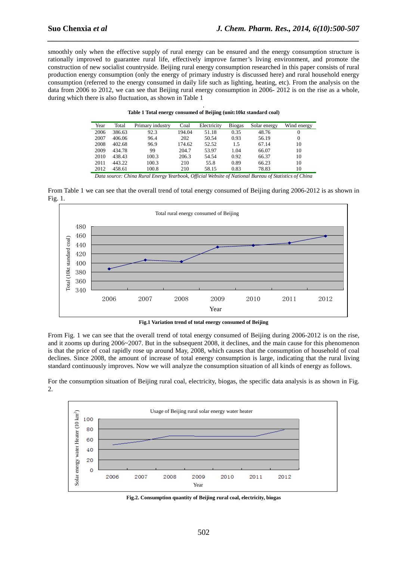smoothly only when the effective supply of rural energy can be ensured and the energy consumption structure is rationally improved to guarantee rural life, effectively improve farmer's living environment, and promote the construction of new socialist countryside. Beijing rural energy consumption researched in this paper consists of rural production energy consumption (only the energy of primary industry is discussed here) and rural household energy consumption (referred to the energy consumed in daily life such as lighting, heating, etc). From the analysis on the data from 2006 to 2012, we can see that Beijing rural energy consumption in 2006-2012 is on the rise as a whole, during which there is also fluctuation, as shown in Table 1

*\_\_\_\_\_\_\_\_\_\_\_\_\_\_\_\_\_\_\_\_\_\_\_\_\_\_\_\_\_\_\_\_\_\_\_\_\_\_\_\_\_\_\_\_\_\_\_\_\_\_\_\_\_\_\_\_\_\_\_\_\_\_\_\_\_\_\_\_\_\_\_\_\_\_\_\_\_\_*

| Table 1 Total energy consumed of Beijing (unit:10kt standard coal) |
|--------------------------------------------------------------------|

| Year | Total  | Primary industry | Coal   | Electricity | <b>Biogas</b> | Solar energy | Wind energy |
|------|--------|------------------|--------|-------------|---------------|--------------|-------------|
| 2006 | 386.63 | 92.3             | 194.04 | 51.18       | 0.35          | 48.76        | 0           |
| 2007 | 406.06 | 96.4             | 202    | 50.54       | 0.93          | 56.19        | $\Omega$    |
| 2008 | 402.68 | 96.9             | 174.62 | 52.52       | 1.5           | 67.14        | 10          |
| 2009 | 434.78 | 99               | 204.7  | 53.97       | 1.04          | 66.07        | 10          |
| 2010 | 438.43 | 100.3            | 206.3  | 54.54       | 0.92          | 66.37        | 10          |
| 2011 | 443.22 | 100.3            | 210    | 55.8        | 0.89          | 66.23        | 10          |
| 2012 | 458.61 | 100.8            | 210    | 58.15       | 0.83          | 78.83        | 10          |
|      |        |                  |        |             |               |              |             |

*Data source: China Rural Energy Yearbook, Official Website of National Bureau of Statistics of China* 





**Fig.1 Variation trend of total energy consumed of Beijing** 

From Fig. 1 we can see that the overall trend of total energy consumed of Beijing during 2006-2012 is on the rise, and it zooms up during 2006~2007. But in the subsequent 2008, it declines, and the main cause for this phenomenon is that the price of coal rapidly rose up around May, 2008, which causes that the consumption of household of coal declines. Since 2008, the amount of increase of total energy consumption is large, indicating that the rural living standard continuously improves. Now we will analyze the consumption situation of all kinds of energy as follows.

For the consumption situation of Beijing rural coal, electricity, biogas, the specific data analysis is as shown in Fig. 2.



**Fig.2. Consumption quantity of Beijing rural coal, electricity, biogas**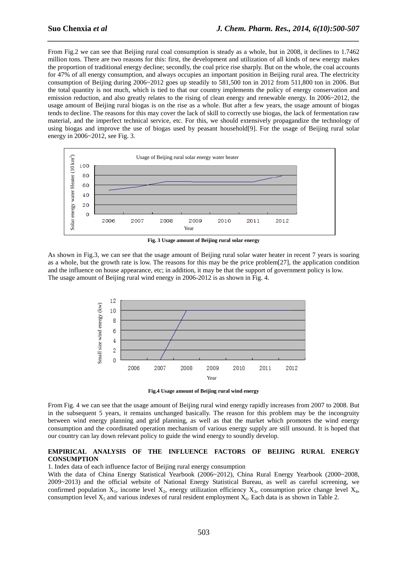From Fig.2 we can see that Beijing rural coal consumption is steady as a whole, but in 2008, it declines to 1.7462 million tons. There are two reasons for this: first, the development and utilization of all kinds of new energy makes the proportion of traditional energy decline; secondly, the coal price rise sharply. But on the whole, the coal accounts for 47% of all energy consumption, and always occupies an important position in Beijing rural area. The electricity consumption of Beijing during 2006~2012 goes up steadily to 581,500 ton in 2012 from 511,800 ton in 2006. But the total quantity is not much, which is tied to that our country implements the policy of energy conservation and emission reduction, and also greatly relates to the rising of clean energy and renewable energy. In 2006~2012, the usage amount of Beijing rural biogas is on the rise as a whole. But after a few years, the usage amount of biogas tends to decline. The reasons for this may cover the lack of skill to correctly use biogas, the lack of fermentation raw material, and the imperfect technical service, etc. For this, we should extensively propagandize the technology of using biogas and improve the use of biogas used by peasant household[9]. For the usage of Beijing rural solar energy in 2006~2012, see Fig. 3.

*\_\_\_\_\_\_\_\_\_\_\_\_\_\_\_\_\_\_\_\_\_\_\_\_\_\_\_\_\_\_\_\_\_\_\_\_\_\_\_\_\_\_\_\_\_\_\_\_\_\_\_\_\_\_\_\_\_\_\_\_\_\_\_\_\_\_\_\_\_\_\_\_\_\_\_\_\_\_*



**Fig. 3 Usage amount of Beijing rural solar energy** 

As shown in Fig.3, we can see that the usage amount of Beijing rural solar water heater in recent 7 years is soaring as a whole, but the growth rate is low. The reasons for this may be the price problem[27], the application condition and the influence on house appearance, etc; in addition, it may be that the support of government policy is low. The usage amount of Beijing rural wind energy in 2006-2012 is as shown in Fig. 4.



**Fig.4 Usage amount of Beijing rural wind energy** 

From Fig. 4 we can see that the usage amount of Beijing rural wind energy rapidly increases from 2007 to 2008. But in the subsequent 5 years, it remains unchanged basically. The reason for this problem may be the incongruity between wind energy planning and grid planning, as well as that the market which promotes the wind energy consumption and the coordinated operation mechanism of various energy supply are still unsound. It is hoped that our country can lay down relevant policy to guide the wind energy to soundly develop.

### **EMPIRICAL ANALYSIS OF THE INFLUENCE FACTORS OF BEIJING RURAL ENERGY CONSUMPTION**

1. Index data of each influence factor of Beijing rural energy consumption

With the data of China Energy Statistical Yearbook (2006~2012), China Rural Energy Yearbook (2000~2008, 2009~2013) and the official website of National Energy Statistical Bureau, as well as careful screening, we confirmed population  $X_1$ , income level  $X_2$ , energy utilization efficiency  $X_3$ , consumption price change level  $X_4$ , consumption level  $X_5$  and various indexes of rural resident employment  $X_6$ . Each data is as shown in Table 2.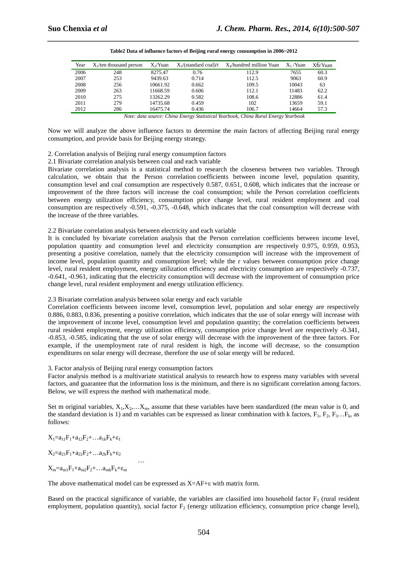| Year | $X_1$ /ten thousand person | $X_2$ Yuan | $X_3$ /(standard coal)/t | $X$ hundred million Yuan | $X_5/Y$ uan | $X6/Y$ uan |
|------|----------------------------|------------|--------------------------|--------------------------|-------------|------------|
| 2006 | 248                        | 8275.47    | 0.76                     | 112.9                    | 7655        | 60.3       |
| 2007 | 253                        | 9439.63    | 0.714                    | 112.5                    | 9063        | 60.9       |
| 2008 | 256                        | 10661.92   | 0.662                    | 109.5                    | 10043       | 63         |
| 2009 | 263                        | 11668.59   | 0.606                    | 112.1                    | 11483       | 62.2       |
| 2010 | 275                        | 13262.29   | 0.582                    | 108.6                    | 12886       | 61.4       |
| 2011 | 279                        | 14735.68   | 0.459                    | 102                      | 13659       | 59.1       |
| 2012 | 286                        | 16475.74   | 0.436                    | 106.7                    | 14664       | 57.3       |

| Table 2Data of influence factors of Beijing rural energy consumption in 2006~2012 |
|-----------------------------------------------------------------------------------|

*Note: data source: China Energy Statistical Yearbook, China Rural Energy Yearbook* 

Now we will analyze the above influence factors to determine the main factors of affecting Beijing rural energy consumption, and provide basis for Beijing energy strategy.

### 2. Correlation analysis of Beijing rural energy consumption factors

2.1 Bivariate correlation analysis between coal and each variable

Bivariate correlation analysis is a statistical method to research the closeness between two variables. Through calculation, we obtain that the Person correlation coefficients between income level, population quantity, consumption level and coal consumption are respectively 0.587, 0.651, 0.608, which indicates that the increase or improvement of the three factors will increase the coal consumption; while the Person correlation coefficients between energy utilization efficiency, consumption price change level, rural resident employment and coal consumption are respectively -0.591, -0.375, -0.648, which indicates that the coal consumption will decrease with the increase of the three variables.

### 2.2 Bivariate correlation analysis between electricity and each variable

It is concluded by bivariate correlation analysis that the Person correlation coefficients between income level, population quantity and consumption level and electricity consumption are respectively 0.975, 0.959, 0.953, presenting a positive correlation, namely that the electricity consumption will increase with the improvement of income level, population quantity and consumption level; while the r values between consumption price change level, rural resident employment, energy utilization efficiency and electricity consumption are respectively -0.737, -0.641, -0.961, indicating that the electricity consumption will decrease with the improvement of consumption price change level, rural resident employment and energy utilization efficiency.

### 2.3 Bivariate correlation analysis between solar energy and each variable

Correlation coefficients between income level, consumption level, population and solar energy are respectively 0.886, 0.883, 0.836, presenting a positive correlation, which indicates that the use of solar energy will increase with the improvement of income level, consumption level and population quantity; the correlation coefficients between rural resident employment, energy utilization efficiency, consumption price change level are respectively -0.341, -0.853, -0.585, indicating that the use of solar energy will decrease with the improvement of the three factors. For example, if the unemployment rate of rural resident is high, the income will decrease, so the consumption expenditures on solar energy will decrease, therefore the use of solar energy will be reduced.

### 3. Factor analysis of Beijing rural energy consumption factors

Factor analysis method is a multivariate statistical analysis to research how to express many variables with several factors, and guarantee that the information loss is the minimum, and there is no significant correlation among factors. Below, we will express the method with mathematical mode.

Set m original variables,  $X_1, X_2, \ldots, X_m$ , assume that these variables have been standardized (the mean value is 0, and the standard deviation is 1) and m variables can be expressed as linear combination with k factors,  $F_1$ ,  $F_2$ ,  $F_3$ ... $F_k$ , as follows:

 $X_1=a_{11}F_1+a_{12}F_2+\ldots+a_{1k}F_k+\epsilon_1$ 

 $X_2=a_{21}F_1+a_{22}F_2+\ldots+a_{2k}F_k+\epsilon_2$ 

and the contract of the contract of the contract of  $X_m=a_{m1}F_1+a_{m2}F_2+\ldots+a_{mk}F_k+\epsilon_m$ 

The above mathematical model can be expressed as  $X=AF+\epsilon$  with matrix form.

Based on the practical significance of variable, the variables are classified into household factor  $F_1$  (rural resident employment, population quantity), social factor  $F_2$  (energy utilization efficiency, consumption price change level),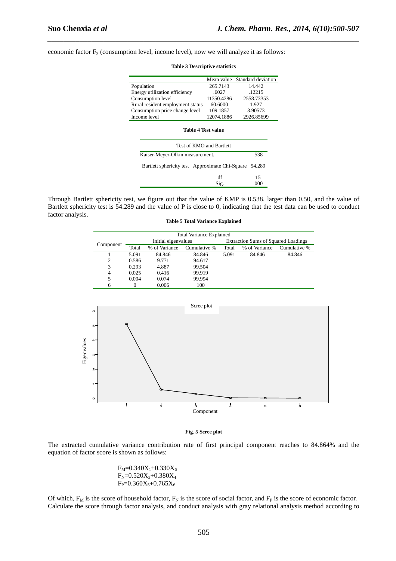economic factor  $F_3$  (consumption level, income level), now we will analyze it as follows:

|                                                           |            | Mean value Standard deviation |  |  |  |  |
|-----------------------------------------------------------|------------|-------------------------------|--|--|--|--|
| Population                                                | 265.7143   | 14.442                        |  |  |  |  |
| Energy utilization efficiency                             | 6027       | 12215                         |  |  |  |  |
| Consumption level                                         | 11350.4286 | 2558.73353                    |  |  |  |  |
| Rural resident employment status                          | 60.6000    | 1.927                         |  |  |  |  |
| Consumption price change level                            | 109.1857   | 3.90573                       |  |  |  |  |
| Income level                                              | 12074.1886 | 2926.85699                    |  |  |  |  |
| Test of KMO and Bartlett                                  |            |                               |  |  |  |  |
| Kaiser-Meyer-Olkin measurement.                           | .538       |                               |  |  |  |  |
| Bartlett sphericity test Approximate Chi-Square<br>54.289 |            |                               |  |  |  |  |
|                                                           | df         | 15                            |  |  |  |  |
|                                                           | Sig.       | .000                          |  |  |  |  |

*\_\_\_\_\_\_\_\_\_\_\_\_\_\_\_\_\_\_\_\_\_\_\_\_\_\_\_\_\_\_\_\_\_\_\_\_\_\_\_\_\_\_\_\_\_\_\_\_\_\_\_\_\_\_\_\_\_\_\_\_\_\_\_\_\_\_\_\_\_\_\_\_\_\_\_\_\_\_*

**Table 3 Descriptive statistics** 

#### Through Bartlett sphericity test, we figure out that the value of KMP is 0.538, larger than 0.50, and the value of Bartlett sphericity test is 54.289 and the value of P is close to 0, indicating that the test data can be used to conduct factor analysis.

| <b>Total Variance Explained</b> |          |                     |              |                                            |               |              |  |  |
|---------------------------------|----------|---------------------|--------------|--------------------------------------------|---------------|--------------|--|--|
| Component                       |          | Initial eigenvalues |              | <b>Extraction Sums of Squared Loadings</b> |               |              |  |  |
|                                 | Total    | % of Variance       | Cumulative % | Total                                      | % of Variance | Cumulative % |  |  |
|                                 | 5.091    | 84.846              | 84.846       | 5.091                                      | 84.846        | 84.846       |  |  |
| 2                               | 0.586    | 9.771               | 94.617       |                                            |               |              |  |  |
| 3                               | 0.293    | 4.887               | 99.504       |                                            |               |              |  |  |
| $\overline{4}$                  | 0.025    | 0.416               | 99.919       |                                            |               |              |  |  |
| 5                               | 0.004    | 0.074               | 99.994       |                                            |               |              |  |  |
| 6                               | $\Omega$ | 0.006               | 100          |                                            |               |              |  |  |



#### **Fig. 5 Scree plot**

The extracted cumulative variance contribution rate of first principal component reaches to 84.864% and the equation of factor score is shown as follows:

> $F_M=0.340X_1+0.330X_6$  $F_N = 0.520X_3 + 0.380X_4$  $F_P = 0.360X_5 + 0.765X_6$

Of which,  $F_M$  is the score of household factor,  $F_N$  is the score of social factor, and  $F_P$  is the score of economic factor. Calculate the score through factor analysis, and conduct analysis with gray relational analysis method according to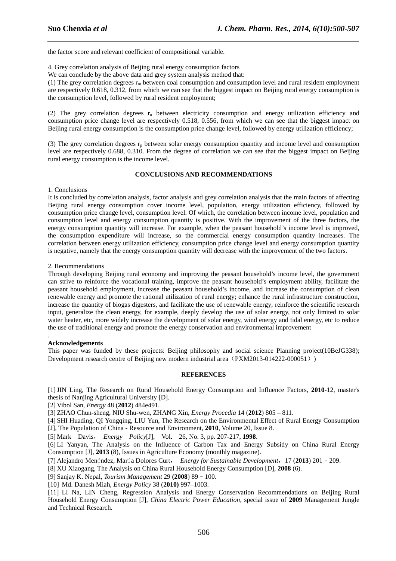the factor score and relevant coefficient of compositional variable.

4. Grey correlation analysis of Beijing rural energy consumption factors

We can conclude by the above data and grey system analysis method that:

(1) The grey correlation degrees  $r_m$  between coal consumption and consumption level and rural resident employment are respectively 0.618, 0.312, from which we can see that the biggest impact on Beijing rural energy consumption is the consumption level, followed by rural resident employment;

*\_\_\_\_\_\_\_\_\_\_\_\_\_\_\_\_\_\_\_\_\_\_\_\_\_\_\_\_\_\_\_\_\_\_\_\_\_\_\_\_\_\_\_\_\_\_\_\_\_\_\_\_\_\_\_\_\_\_\_\_\_\_\_\_\_\_\_\_\_\_\_\_\_\_\_\_\_\_*

(2) The grey correlation degrees  $r_n$  between electricity consumption and energy utilization efficiency and consumption price change level are respectively 0.518, 0.556, from which we can see that the biggest impact on Beijing rural energy consumption is the consumption price change level, followed by energy utilization efficiency;

(3) The grey correlation degrees  $r_p$  between solar energy consumption quantity and income level and consumption level are respectively 0.688, 0.310. From the degree of correlation we can see that the biggest impact on Beijing rural energy consumption is the income level.

### **CONCLUSIONS AND RECOMMENDATIONS**

1. Conclusions

It is concluded by correlation analysis, factor analysis and grey correlation analysis that the main factors of affecting Beijing rural energy consumption cover income level, population, energy utilization efficiency, followed by consumption price change level, consumption level. Of which, the correlation between income level, population and consumption level and energy consumption quantity is positive. With the improvement of the three factors, the energy consumption quantity will increase. For example, when the peasant household's income level is improved, the consumption expenditure will increase, so the commercial energy consumption quantity increases. The correlation between energy utilization efficiency, consumption price change level and energy consumption quantity is negative, namely that the energy consumption quantity will decrease with the improvement of the two factors.

#### 2. Recommendations

Through developing Beijing rural economy and improving the peasant household's income level, the government can strive to reinforce the vocational training, improve the peasant household's employment ability, facilitate the peasant household employment, increase the peasant household's income, and increase the consumption of clean renewable energy and promote the rational utilization of rural energy; enhance the rural infrastructure construction, increase the quantity of biogas digesters, and facilitate the use of renewable energy; reinforce the scientific research input, generalize the clean energy, for example, deeply develop the use of solar energy, not only limited to solar water heater, etc, more widely increase the development of solar energy, wind energy and tidal energy, etc to reduce the use of traditional energy and promote the energy conservation and environmental improvement

#### . **Acknowledgements**

This paper was funded by these projects: Beijing philosophy and social science Planning project(10BeJG338); Development research centre of Beijing new modern industrial area (PXM2013-014222-000051))

### **REFERENCES**

[1] JIN Ling, The Research on Rural Household Energy Consumption and Influence Factors, **2010**-12, master's thesis of Nanjing Agricultural University [D].

[2] Vibol San, *Energy* 48 (**2012**) 484e491.

[3] ZHAO Chun-sheng, NIU Shu-wen, ZHANG Xin, *Energy Procedia* 14 (**2012**) 805 – 811.

[4] SHI Huading, QI Yongqing, LIU Yun, The Research on the Environmental Effect of Rural Energy Consumption [J], The Population of China - Resource and Environment, **2010**, Volume 20, Issue 8.

[5] Mark Davis, *Energy Policy*[J], Vol. 26, No. 3, pp. 207-217, **1998**.

[6] LI Yanyan, The Analysis on the Influence of Carbon Tax and Energy Subsidy on China Rural Energy Consumption [J], **2013** (8), Issues in Agriculture Economy (monthly magazine).

[7] Alejandro Menéndez, María Dolores Curt, *Energy for Sustainable Development*,17 (**2013**) 201–209.

[8] XU Xiaogang, The Analysis on China Rural Household Energy Consumption [D], **2008** (6).

[9] Sanjay K. Nepal, *Tourism Management* 29 **(2008**) 89–100.

[10] Md. Danesh Miah, *Energy Policy* 38 (**2010)** 997–1003.

[11] LI Na, LIN Cheng, Regression Analysis and Energy Conservation Recommendations on Beijing Rural Household Energy Consumption [J], *China Electric Power Education*, special issue of **2009** Management Jungle and Technical Research.